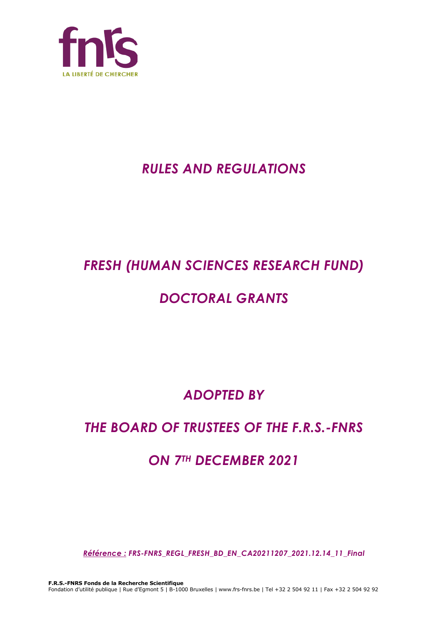

# *RULES AND REGULATIONS*

# *FRESH (HUMAN SCIENCES RESEARCH FUND)*

# *DOCTORAL GRANTS*

*ADOPTED BY*

# *THE BOARD OF TRUSTEES OF THE F.R.S.-FNRS*

# *ON 7TH DECEMBER 2021*

*Référence : FRS-FNRS\_REGL\_FRESH\_BD\_EN\_CA20211207\_2021.12.14\_11\_Final*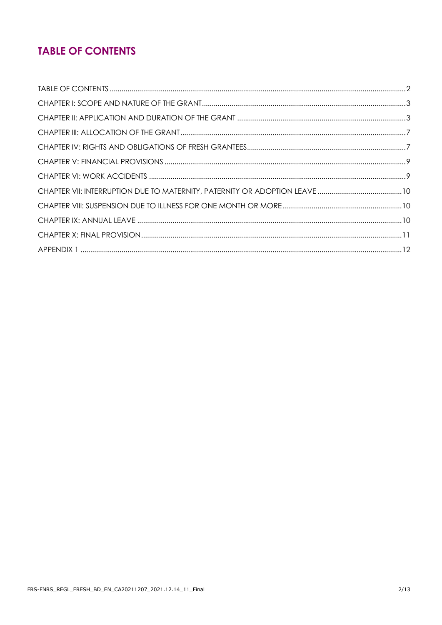## **TABLE OF CONTENTS**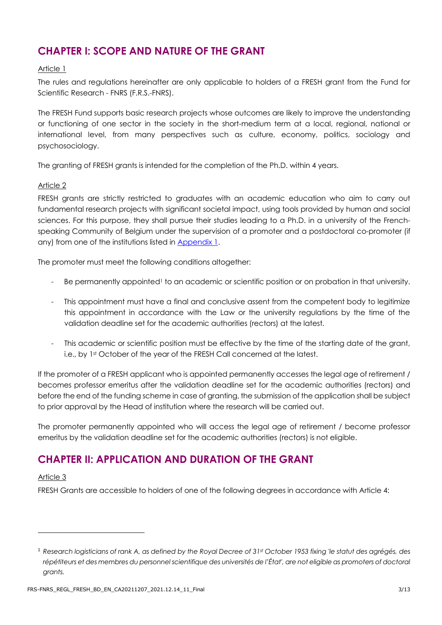## **CHAPTER I: SCOPE AND NATURE OF THE GRANT**

#### Article 1

The rules and regulations hereinafter are only applicable to holders of a FRESH grant from the Fund for Scientific Research - FNRS (F.R.S.-FNRS).

The FRESH Fund supports basic research projects whose outcomes are likely to improve the understanding or functioning of one sector in the society in the short-medium term at a local, regional, national or international level, from many perspectives such as culture, economy, politics, sociology and psychosociology.

The granting of FRESH grants is intended for the completion of the Ph.D. within 4 years.

#### Article 2

FRESH grants are strictly restricted to graduates with an academic education who aim to carry out fundamental research projects with significant societal impact, using tools provided by human and social sciences. For this purpose, they shall pursue their studies leading to a Ph.D. in a university of the Frenchspeaking Community of Belgium under the supervision of a promoter and a postdoctoral co-promoter (if any) from one of the institutions listed in [Appendix 1.](#page-11-0)

The promoter must meet the following conditions altogether:

- Be permanently appointed<sup>1</sup> to an academic or scientific position or on probation in that university.
- This appointment must have a final and conclusive assent from the competent body to legitimize this appointment in accordance with the Law or the university regulations by the time of the validation deadline set for the academic authorities (rectors) at the latest.
- This academic or scientific position must be effective by the time of the starting date of the grant, i.e., by 1<sup>st</sup> October of the year of the FRESH Call concerned at the latest.

If the promoter of a FRESH applicant who is appointed permanently accesses the legal age of retirement / becomes professor emeritus after the validation deadline set for the academic authorities (rectors) and before the end of the funding scheme in case of granting, the submission of the application shall be subject to prior approval by the Head of institution where the research will be carried out.

The promoter permanently appointed who will access the legal age of retirement / become professor emeritus by the validation deadline set for the academic authorities (rectors) is not eligible.

### **CHAPTER II: APPLICATION AND DURATION OF THE GRANT**

#### Article 3

FRESH Grants are accessible to holders of one of the following degrees in accordance with Article 4:

<sup>1</sup> *Research logisticians of rank A, as defined by the Royal Decree of 31st October 1953 fixing 'le statut des agrégés, des répétiteurs et des membres du personnel scientifique des universités de l'État', are not eligible as promoters of doctoral grants.*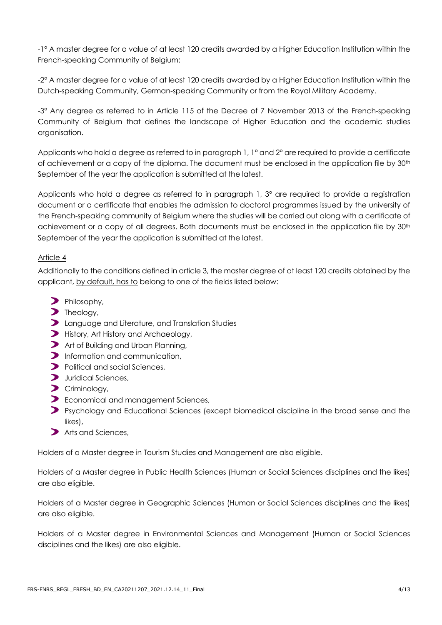-1° A master degree for a value of at least 120 credits awarded by a Higher Education Institution within the French-speaking Community of Belgium;

-2° A master degree for a value of at least 120 credits awarded by a Higher Education Institution within the Dutch-speaking Community, German-speaking Community or from the Royal Military Academy.

-3° Any degree as referred to in Article 115 of the Decree of 7 November 2013 of the French-speaking Community of Belgium that defines the landscape of Higher Education and the academic studies organisation.

Applicants who hold a degree as referred to in paragraph 1, 1° and 2° are required to provide a certificate of achievement or a copy of the diploma. The document must be enclosed in the application file by 30th September of the year the application is submitted at the latest.

Applicants who hold a degree as referred to in paragraph 1, 3° are required to provide a registration document or a certificate that enables the admission to doctoral programmes issued by the university of the French-speaking community of Belgium where the studies will be carried out along with a certificate of achievement or a copy of all degrees. Both documents must be enclosed in the application file by 30<sup>th</sup> September of the year the application is submitted at the latest.

#### Article 4

Additionally to the conditions defined in article 3, the master degree of at least 120 credits obtained by the applicant, by default, has to belong to one of the fields listed below:

- Philosophy,
- $\sum$  Theology,
- **D** Language and Literature, and Translation Studies
- History, Art History and Archaeology,
- Art of Building and Urban Planning,
- Information and communication,
- Political and social Sciences,
- **Juridical Sciences,**
- Criminology,
- **D** Economical and management Sciences,
- **P** Psychology and Educational Sciences (except biomedical discipline in the broad sense and the likes),
- Arts and Sciences,

Holders of a Master degree in Tourism Studies and Management are also eligible.

Holders of a Master degree in Public Health Sciences (Human or Social Sciences disciplines and the likes) are also eligible.

Holders of a Master degree in Geographic Sciences (Human or Social Sciences disciplines and the likes) are also eligible.

Holders of a Master degree in Environmental Sciences and Management (Human or Social Sciences disciplines and the likes) are also eligible.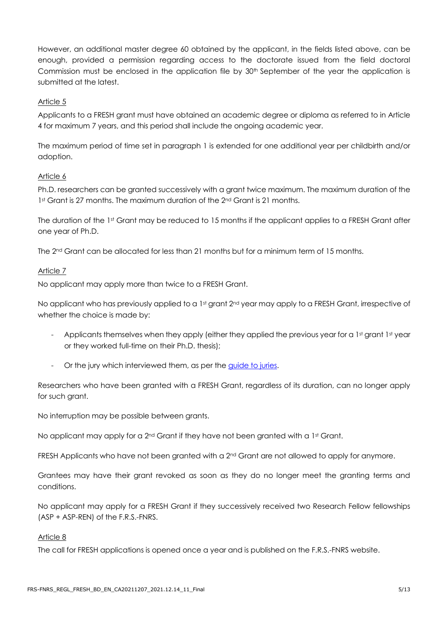However, an additional master degree 60 obtained by the applicant, in the fields listed above, can be enough, provided a permission regarding access to the doctorate issued from the field doctoral Commission must be enclosed in the application file by 30<sup>th</sup> September of the year the application is submitted at the latest.

#### Article 5

Applicants to a FRESH grant must have obtained an academic degree or diploma as referred to in Article 4 for maximum 7 years, and this period shall include the ongoing academic year.

The maximum period of time set in paragraph 1 is extended for one additional year per childbirth and/or adoption.

#### Article 6

Ph.D. researchers can be granted successively with a grant twice maximum. The maximum duration of the 1st Grant is 27 months. The maximum duration of the 2nd Grant is 21 months.

The duration of the 1st Grant may be reduced to 15 months if the applicant applies to a FRESH Grant after one year of Ph.D.

The 2nd Grant can be allocated for less than 21 months but for a minimum term of 15 months.

#### Article 7

No applicant may apply more than twice to a FRESH Grant.

No applicant who has previously applied to a 1st grant 2<sup>nd</sup> year may apply to a FRESH Grant, irrespective of whether the choice is made by:

- Applicants themselves when they apply (either they applied the previous year for a 1st grant 1st year or they worked full-time on their Ph.D. thesis);
- Or the jury which interviewed them, as per the [guide to juries.](https://www.frs-fnrs.be/docs/Reglement-et-documents/FRS-FNRS_Guide_Jurys_FRESH.pdf)

Researchers who have been granted with a FRESH Grant, regardless of its duration, can no longer apply for such grant.

No interruption may be possible between grants.

No applicant may apply for a  $2^{nd}$  Grant if they have not been granted with a 1st Grant.

FRESH Applicants who have not been granted with a 2<sup>nd</sup> Grant are not allowed to apply for anymore.

Grantees may have their grant revoked as soon as they do no longer meet the granting terms and conditions.

No applicant may apply for a FRESH Grant if they successively received two Research Fellow fellowships (ASP + ASP-REN) of the F.R.S.-FNRS.

#### Article 8

The call for FRESH applications is opened once a year and is published on the F.R.S.-FNRS website.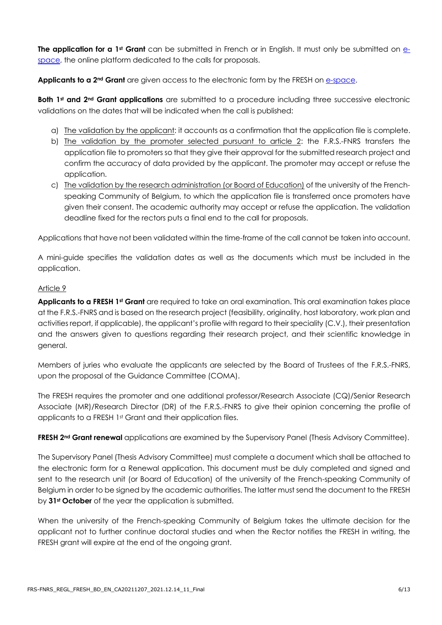**The application for a 1st Grant** can be submitted in French or in English. It must only be submitted on [e](https://e-space.frs-fnrs.be/)[space,](https://e-space.frs-fnrs.be/) the online platform dedicated to the calls for proposals.

Applicants to a 2<sup>nd</sup> Grant are given access to the electronic form by the FRESH on **e-space**.

**Both 1st and 2nd Grant applications** are submitted to a procedure including three successive electronic validations on the dates that will be indicated when the call is published:

- a) The validation by the applicant: it accounts as a confirmation that the application file is complete.
- b) The validation by the promoter selected pursuant to article 2: the F.R.S.-FNRS transfers the application file to promoters so that they give their approval for the submitted research project and confirm the accuracy of data provided by the applicant. The promoter may accept or refuse the application.
- c) The validation by the research administration (or Board of Education) of the university of the Frenchspeaking Community of Belgium, to which the application file is transferred once promoters have given their consent. The academic authority may accept or refuse the application. The validation deadline fixed for the rectors puts a final end to the call for proposals.

Applications that have not been validated within the time-frame of the call cannot be taken into account.

A mini-guide specifies the validation dates as well as the documents which must be included in the application.

#### Article 9

**Applicants to a FRESH 1st Grant** are required to take an oral examination. This oral examination takes place at the F.R.S.-FNRS and is based on the research project (feasibility, originality, host laboratory, work plan and activities report, if applicable), the applicant's profile with regard to their speciality (C.V.), their presentation and the answers given to questions regarding their research project, and their scientific knowledge in general.

Members of juries who evaluate the applicants are selected by the Board of Trustees of the F.R.S.-FNRS, upon the proposal of the Guidance Committee (COMA).

The FRESH requires the promoter and one additional professor/Research Associate (CQ)/Senior Research Associate (MR)/Research Director (DR) of the F.R.S.-FNRS to give their opinion concerning the profile of applicants to a FRESH 1st Grant and their application files.

**FRESH 2nd Grant renewal** applications are examined by the Supervisory Panel (Thesis Advisory Committee).

The Supervisory Panel (Thesis Advisory Committee) must complete a document which shall be attached to the electronic form for a Renewal application. This document must be duly completed and signed and sent to the research unit (or Board of Education) of the university of the French-speaking Community of Belgium in order to be signed by the academic authorities. The latter must send the document to the FRESH by **31st October** of the year the application is submitted.

When the university of the French-speaking Community of Belgium takes the ultimate decision for the applicant not to further continue doctoral studies and when the Rector notifies the FRESH in writing, the FRESH grant will expire at the end of the ongoing grant.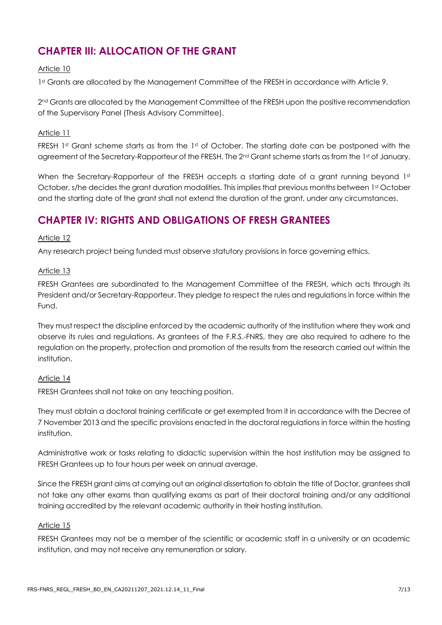## **CHAPTER III: ALLOCATION OF THE GRANT**

#### Article 10

1st Grants are allocated by the Management Committee of the FRESH in accordance with Article 9.

2<sup>nd</sup> Grants are allocated by the Management Committee of the FRESH upon the positive recommendation of the Supervisory Panel (Thesis Advisory Committee).

#### Article 11

FRESH 1st Grant scheme starts as from the 1st of October. The starting date can be postponed with the agreement of the Secretary-Rapporteur of the FRESH. The 2<sup>nd</sup> Grant scheme starts as from the 1st of January.

When the Secretary-Rapporteur of the FRESH accepts a starting date of a grant running beyond 1st October, s/he decides the grant duration modalities. This implies that previous months between 1st October and the starting date of the grant shall not extend the duration of the grant, under any circumstances.

### **CHAPTER IV: RIGHTS AND OBLIGATIONS OF FRESH GRANTEES**

#### Article 12

Any research project being funded must observe statutory provisions in force governing ethics.

#### Article 13

FRESH Grantees are subordinated to the Management Committee of the FRESH, which acts through its President and/or Secretary-Rapporteur. They pledge to respect the rules and regulations in force within the Fund.

They must respect the discipline enforced by the academic authority of the institution where they work and observe its rules and regulations. As grantees of the F.R.S.-FNRS, they are also required to adhere to the regulation on the property, protection and promotion of the results from the research carried out within the institution.

#### Article 14

FRESH Grantees shall not take on any teaching position.

They must obtain a doctoral training certificate or get exempted from it in accordance with the Decree of 7 November 2013 and the specific provisions enacted in the doctoral regulations in force within the hosting institution.

Administrative work or tasks relating to didactic supervision within the host institution may be assigned to FRESH Grantees up to four hours per week on annual average.

Since the FRESH grant aims at carrying out an original dissertation to obtain the title of Doctor, grantees shall not take any other exams than qualifying exams as part of their doctoral training and/or any additional training accredited by the relevant academic authority in their hosting institution.

#### Article 15

FRESH Grantees may not be a member of the scientific or academic staff in a university or an academic institution, and may not receive any remuneration or salary.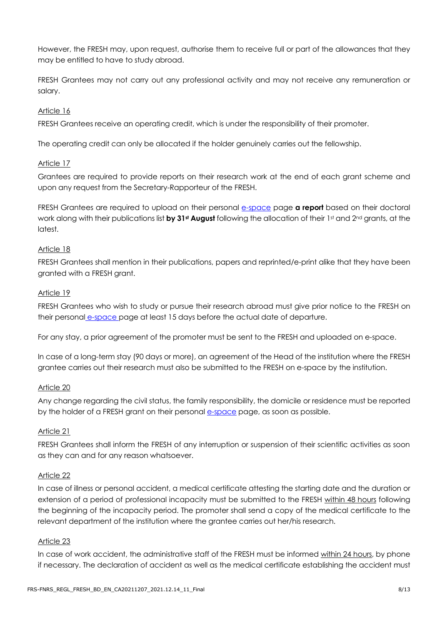However, the FRESH may, upon request, authorise them to receive full or part of the allowances that they may be entitled to have to study abroad.

FRESH Grantees may not carry out any professional activity and may not receive any remuneration or salary.

#### Article 16

FRESH Grantees receive an operating credit, which is under the responsibility of their promoter.

The operating credit can only be allocated if the holder genuinely carries out the fellowship.

#### Article 17

Grantees are required to provide reports on their research work at the end of each grant scheme and upon any request from the Secretary-Rapporteur of the FRESH.

FRESH Grantees are required to upload on their personal e[-space](https://e-space.frs-fnrs.be/) page **a report** based on their doctoral work along with their publications list **by 31st August** following the allocation of their 1st and 2nd grants, at the latest.

#### Article 18

FRESH Grantees shall mention in their publications, papers and reprinted/e-print alike that they have been granted with a FRESH grant.

#### Article 19

FRESH Grantees who wish to study or pursue their research abroad must give prior notice to the FRESH on their personal e[-space](https://e-space.frs-fnrs.be/) page at least 15 days before the actual date of departure.

For any stay, a prior agreement of the promoter must be sent to the FRESH and uploaded on e-space.

In case of a long-term stay (90 days or more), an agreement of the Head of the institution where the FRESH grantee carries out their research must also be submitted to the FRESH on e-space by the institution.

#### Article 20

Any change regarding the civil status, the family responsibility, the domicile or residence must be reported by the holder of a FRESH grant on their personal e[-space](https://e-space.frs-fnrs.be/) page, as soon as possible.

#### Article 21

FRESH Grantees shall inform the FRESH of any interruption or suspension of their scientific activities as soon as they can and for any reason whatsoever.

#### Article 22

In case of illness or personal accident, a medical certificate attesting the starting date and the duration or extension of a period of professional incapacity must be submitted to the FRESH within 48 hours following the beginning of the incapacity period. The promoter shall send a copy of the medical certificate to the relevant department of the institution where the grantee carries out her/his research.

#### Article 23

In case of work accident, the administrative staff of the FRESH must be informed within 24 hours, by phone if necessary. The declaration of accident as well as the medical certificate establishing the accident must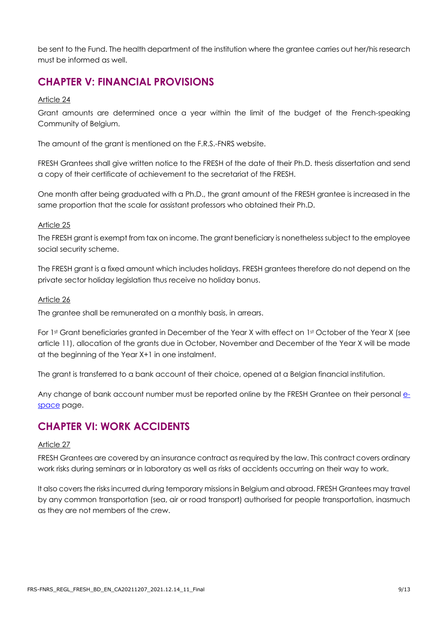be sent to the Fund. The health department of the institution where the grantee carries out her/his research must be informed as well.

## **CHAPTER V: FINANCIAL PROVISIONS**

#### Article 24

Grant amounts are determined once a year within the limit of the budget of the French-speaking Community of Belgium.

The amount of the grant is mentioned on the F.R.S.-FNRS website.

FRESH Grantees shall give written notice to the FRESH of the date of their Ph.D. thesis dissertation and send a copy of their certificate of achievement to the secretariat of the FRESH.

One month after being graduated with a Ph.D., the grant amount of the FRESH grantee is increased in the same proportion that the scale for assistant professors who obtained their Ph.D.

#### Article 25

The FRESH grant is exempt from tax on income. The grant beneficiary is nonetheless subject to the employee social security scheme.

The FRESH grant is a fixed amount which includes holidays. FRESH grantees therefore do not depend on the private sector holiday legislation thus receive no holiday bonus.

#### Article 26

The grantee shall be remunerated on a monthly basis, in arrears.

For 1st Grant beneficiaries granted in December of the Year X with effect on 1st October of the Year X (see article 11), allocation of the grants due in October, November and December of the Year X will be made at the beginning of the Year X+1 in one instalment.

The grant is transferred to a bank account of their choice, opened at a Belgian financial institution.

Any change of bank account number must be reported online by the FRESH Grantee on their personal e[space](https://e-space.frs-fnrs.be/) page.

### **CHAPTER VI: WORK ACCIDENTS**

#### Article 27

FRESH Grantees are covered by an insurance contract as required by the law. This contract covers ordinary work risks during seminars or in laboratory as well as risks of accidents occurring on their way to work.

It also covers the risks incurred during temporary missions in Belgium and abroad. FRESH Grantees may travel by any common transportation (sea, air or road transport) authorised for people transportation, inasmuch as they are not members of the crew.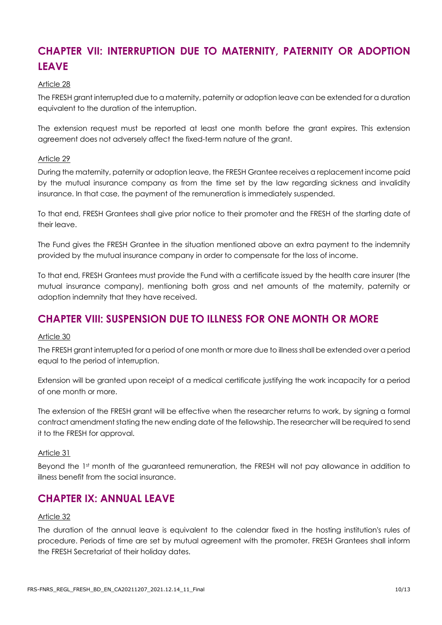## **CHAPTER VII: INTERRUPTION DUE TO MATERNITY, PATERNITY OR ADOPTION LEAVE**

#### Article 28

The FRESH grant interrupted due to a maternity, paternity or adoption leave can be extended for a duration equivalent to the duration of the interruption.

The extension request must be reported at least one month before the grant expires. This extension agreement does not adversely affect the fixed-term nature of the grant.

#### Article 29

During the maternity, paternity or adoption leave, the FRESH Grantee receives a replacement income paid by the mutual insurance company as from the time set by the law regarding sickness and invalidity insurance. In that case, the payment of the remuneration is immediately suspended.

To that end, FRESH Grantees shall give prior notice to their promoter and the FRESH of the starting date of their leave.

The Fund gives the FRESH Grantee in the situation mentioned above an extra payment to the indemnity provided by the mutual insurance company in order to compensate for the loss of income.

To that end, FRESH Grantees must provide the Fund with a certificate issued by the health care insurer (the mutual insurance company), mentioning both gross and net amounts of the maternity, paternity or adoption indemnity that they have received.

### **CHAPTER VIII: SUSPENSION DUE TO ILLNESS FOR ONE MONTH OR MORE**

#### Article 30

The FRESH grant interrupted for a period of one month or more due to illness shall be extended over a period equal to the period of interruption.

Extension will be granted upon receipt of a medical certificate justifying the work incapacity for a period of one month or more.

The extension of the FRESH grant will be effective when the researcher returns to work, by signing a formal contract amendment stating the new ending date of the fellowship. The researcher will be required to send it to the FRESH for approval.

#### Article 31

Beyond the 1st month of the guaranteed remuneration, the FRESH will not pay allowance in addition to illness benefit from the social insurance.

### **CHAPTER IX: ANNUAL LEAVE**

#### Article 32

The duration of the annual leave is equivalent to the calendar fixed in the hosting institution's rules of procedure. Periods of time are set by mutual agreement with the promoter. FRESH Grantees shall inform the FRESH Secretariat of their holiday dates.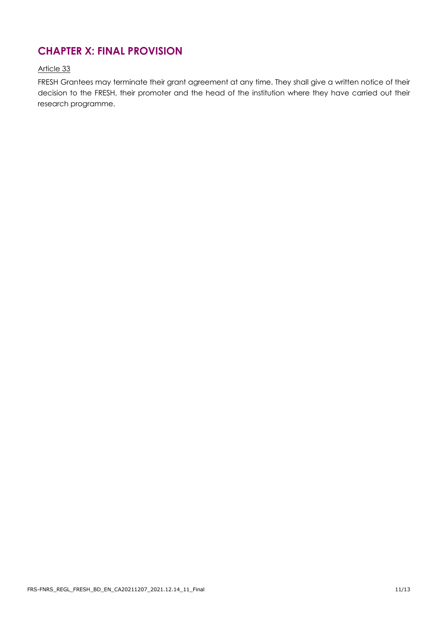### **CHAPTER X: FINAL PROVISION**

#### Article 33

FRESH Grantees may terminate their grant agreement at any time. They shall give a written notice of their decision to the FRESH, their promoter and the head of the institution where they have carried out their research programme.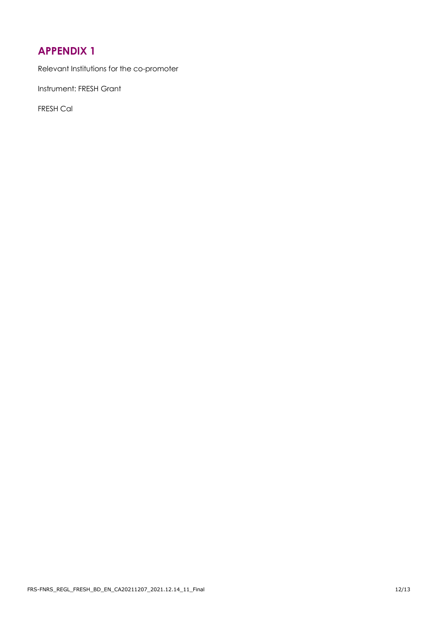## <span id="page-11-0"></span>**APPENDIX 1**

Relevant Institutions for the co-promoter

Instrument: FRESH Grant

FRESH Cal